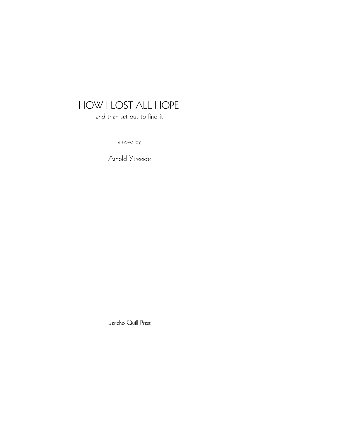and then set out to find it

a novel by

Arnold Ytreeide

Jericho Quill Press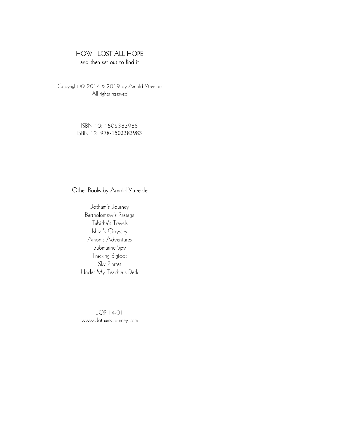and then set out to find it

Copyright © 2014 & 2019 by Arnold Ytreeide All rights reserved

> ISBN 10: 1502383985 ISBN 13: 978-1502383983

## Other Books by Arnold Ytreeide

Jotham's Journey Bartholomew's Passage Tabitha's Travels Ishtar's Odyssey Amon's Adventures Submarine Spy **Tracking Bigfoot** Sky Pirates Under My Teacher's Desk

JQP 14-01 www.JothamsJourney.com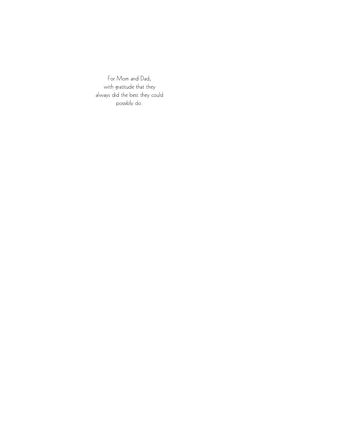For Mom and Dad, with gratitude that they always did the best they could possibly do.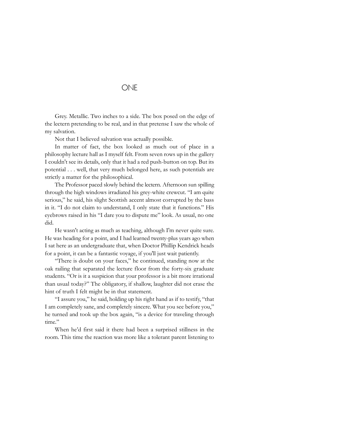## **ONE**

Grey. Metallic. Two inches to a side. The box posed on the edge of the lectern pretending to be real, and in that pretense I saw the whole of my salvation.

Not that I believed salvation was actually possible.

In matter of fact, the box looked as much out of place in a philosophy lecture hall as I myself felt. From seven rows up in the gallery I couldn't see its details, only that it had a red push-button on top. But its potential . . . well, that very much belonged here, as such potentials are strictly a matter for the philosophical.

The Professor paced slowly behind the lectern. Afternoon sun spilling through the high windows irradiated his grey-white crewcut. "I am quite serious," he said, his slight Scottish accent almost corrupted by the bass in it. "I do not claim to understand, I only state that it functions." His eyebrows raised in his "I dare you to dispute me" look. As usual, no one did.

He wasn't acting as much as teaching, although I'm never quite sure. He was heading for a point, and I had learned twenty-plus years ago when I sat here as an undergraduate that, when Doctor Phillip Kendrick heads for a point, it can be a fantastic voyage, if you'll just wait patiently.

"There is doubt on your faces," he continued, standing now at the oak railing that separated the lecture floor from the forty-six graduate students. "Or is it a suspicion that your professor is a bit more irrational than usual today?" The obligatory, if shallow, laughter did not erase the hint of truth I felt might be in that statement.

"I assure you," he said, holding up his right hand as if to testify, "that I am completely sane, and completely sincere. What you see before you," he turned and took up the box again, "is a device for traveling through time."

When he'd first said it there had been a surprised stillness in the room. This time the reaction was more like a tolerant parent listening to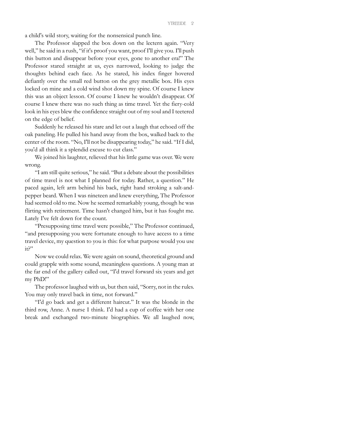a child's wild story, waiting for the nonsensical punch line.

The Professor slapped the box down on the lectern again. "Very well," he said in a rush, "if it's proof you want, proof I'll give you. I'll push this button and disappear before your eyes, gone to another era!" The Professor stared straight at us, eyes narrowed, looking to judge the thoughts behind each face. As he stared, his index finger hovered defiantly over the small red button on the grey metallic box. His eyes locked on mine and a cold wind shot down my spine. Of course I knew this was an object lesson. Of course I knew he wouldn't disappear. Of course I knew there was no such thing as time travel. Yet the fiery-cold look in his eyes blew the confidence straight out of my soul and I teetered on the edge of belief.

Suddenly he released his stare and let out a laugh that echoed off the oak paneling. He pulled his hand away from the box, walked back to the center of the room. "No, I'll not be disappearing today," he said. "If I did, you'd all think it a splendid excuse to cut class."

We joined his laughter, relieved that his little game was over. We were wrong.

"I am still quite serious," he said. "But a debate about the possibilities of time travel is not what I planned for today. Rather, a question." He paced again, left arm behind his back, right hand stroking a salt-andpepper beard. When I was nineteen and knew everything, The Professor had seemed old to me. Now he seemed remarkably young, though he was flirting with retirement. Time hasn't changed him, but it has fought me. Lately I've felt down for the count.

"Presupposing time travel were possible," The Professor continued, "and presupposing you were fortunate enough to have access to a time travel device, my question to you is this: for what purpose would you use it?"

Now we could relax. We were again on sound, theoretical ground and could grapple with some sound, meaningless questions. A young man at the far end of the gallery called out, "I'd travel forward six years and get my PhD!"

The professor laughed with us, but then said, "Sorry, not in the rules. You may only travel back in time, not forward."

"I'd go back and get a different haircut." It was the blonde in the third row, Anne. A nurse I think. I'd had a cup of coffee with her one break and exchanged two-minute biographies. We all laughed now,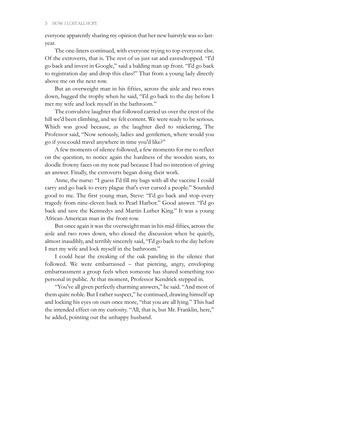everyone apparently sharing my opinion that her new hairstyle was so-lastyear.

The one-liners continued, with everyone trying to top everyone else. Of the extroverts, that is. The rest of us just sat and eavesdropped. "I'd go back and invest in Google," said a balding man up front. "I'd go back to registration day and drop this class!" That from a young lady directly above me on the next row.

But an overweight man in his fifties, across the aisle and two rows down, bagged the trophy when he said, "I'd go back to the day before I met my wife and lock myself in the bathroom."

The convulsive laughter that followed carried us over the crest of the hill we'd been climbing, and we felt content. We were ready to be serious. Which was good because, as the laughter died to snickering, The Professor said, "Now seriously, ladies and gentlemen, where would you go if you could travel anywhere in time you'd like?"

A few moments of silence followed, a few moments for me to reflect on the question, to notice again the hardness of the wooden seats, to doodle frowny faces on my note pad because I had no intention of giving an answer. Finally, the extroverts began doing their work.

Anne, the nurse: "I guess I'd fill my bags with all the vaccine I could carry and go back to every plague that's ever cursed a people." Sounded good to me. The first young man, Steve: "I'd go back and stop every tragedy from nine-eleven back to Pearl Harbor." Good answer. "I'd go back and save the Kennedys and Martin Luther King." It was a young African-American man in the front row.

But once again it was the overweight man in his mid-fifties, across the aisle and two rows down, who closed the discussion when he quietly, almost inaudibly, and terribly sincerely said, "I'd go back to the day before I met my wife and lock myself in the bathroom."

I could hear the creaking of the oak paneling in the silence that followed. We were embarrassed – that piercing, angry, enveloping embarrassment a group feels when someone has shared something too personal in public. At that moment, Professor Kendrick stepped in.

"You've all given perfectly charming answers," he said. "And most of them quite noble. But I rather suspect," he continued, drawing himself up and locking his eyes on ours once more, "that you are all lying." This had the intended effect on my curiosity. "All, that is, but Mr. Franklin, here," he added, pointing out the unhappy husband.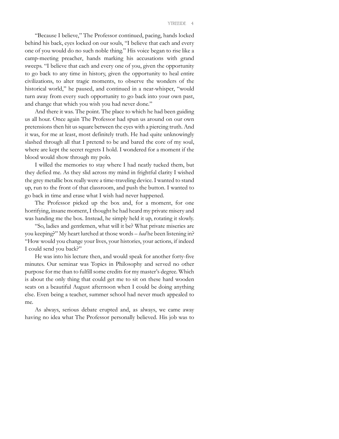#### YTREEIDE 4

"Because I believe," The Professor continued, pacing, hands locked behind his back, eyes locked on our souls, "I believe that each and every one of you would do no such noble thing." His voice began to rise like a camp-meeting preacher, hands marking his accusations with grand sweeps. "I believe that each and every one of you, given the opportunity to go back to any time in history, given the opportunity to heal entire civilizations, to alter tragic moments, to observe the wonders of the historical world," he paused, and continued in a near-whisper, "would turn away from every such opportunity to go back into your own past, and change that which you wish you had never done."

And there it was. The point. The place to which he had been guiding us all hour. Once again The Professor had spun us around on our own pretensions then hit us square between the eyes with a piercing truth. And it was, for me at least, most definitely truth. He had quite unknowingly slashed through all that I pretend to be and bared the core of my soul, where are kept the secret regrets I hold. I wondered for a moment if the blood would show through my polo.

I willed the memories to stay where I had neatly tucked them, but they defied me. As they slid across my mind in frightful clarity I wished the grey metallic box really were a time-traveling device. I wanted to stand up, run to the front of that classroom, and push the button. I wanted to go back in time and erase what I wish had never happened.

The Professor picked up the box and, for a moment, for one horrifying, insane moment, I thought he had heard my private misery and was handing me the box. Instead, he simply held it up, rotating it slowly.

"So, ladies and gentlemen, what will it be? What private miseries are you keeping?" My heart lurched at those words – had he been listening in? "How would you change your lives, your histories, your actions, if indeed I could send you back?"

He was into his lecture then, and would speak for another forty-five minutes. Our seminar was Topics in Philosophy and served no other purpose for me than to fulfill some credits for my master's degree. Which is about the only thing that could get me to sit on these hard wooden seats on a beautiful August afternoon when I could be doing anything else. Even being a teacher, summer school had never much appealed to me.

As always, serious debate erupted and, as always, we came away having no idea what The Professor personally believed. His job was to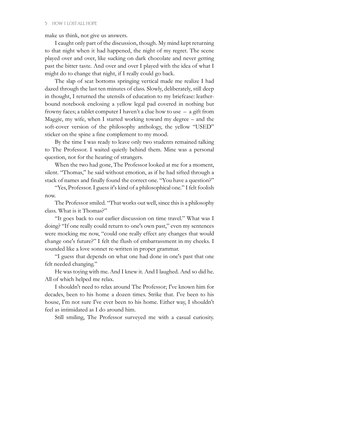make us think, not give us answers.

I caught only part of the discussion, though. My mind kept returning to that night when it had happened, the night of my regret. The scene played over and over, like sucking on dark chocolate and never getting past the bitter taste. And over and over I played with the idea of what I might do to change that night, if I really could go back.

The slap of seat bottoms springing vertical made me realize I had dazed through the last ten minutes of class. Slowly, deliberately, still deep in thought, I returned the utensils of education to my briefcase: leatherbound notebook enclosing a yellow legal pad covered in nothing but frowny faces; a tablet computer I haven't a clue how to use – a gift from Maggie, my wife, when I started working toward my degree – and the soft-cover version of the philosophy anthology, the yellow "USED" sticker on the spine a fine complement to my mood.

By the time I was ready to leave only two students remained talking to The Professor. I waited quietly behind them. Mine was a personal question, not for the hearing of strangers.

When the two had gone, The Professor looked at me for a moment, silent. "Thomas," he said without emotion, as if he had sifted through a stack of names and finally found the correct one. "You have a question?"

"Yes, Professor. I guess it's kind of a philosophical one." I felt foolish now.

The Professor smiled. "That works out well, since this is a philosophy class. What is it Thomas?"

"It goes back to our earlier discussion on time travel." What was I doing? "If one really could return to one's own past," even my sentences were mocking me now, "could one really effect any changes that would change one's future?" I felt the flush of embarrassment in my cheeks. I sounded like a love sonnet re-written in proper grammar.

"I guess that depends on what one had done in one's past that one felt needed changing."

He was toying with me. And I knew it. And I laughed. And so did he. All of which helped me relax.

I shouldn't need to relax around The Professor; I've known him for decades, been to his home a dozen times. Strike that. I've been to his house, I'm not sure I've ever been to his home. Either way, I shouldn't feel as intimidated as I do around him.

Still smiling, The Professor surveyed me with a casual curiosity.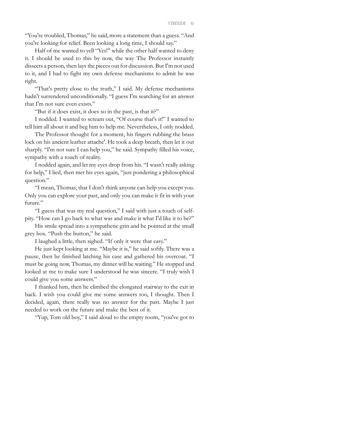"You're troubled, Thomas," he said, more a statement than a guess. "And you're looking for relief. Been looking a long time, I should say."

Half of me wanted to yell "Yes!" while the other half wanted to deny it. I should be used to this by now, the way The Professor instantly dissects a person, then lays the pieces out for discussion. But I'm not used to it, and I had to fight my own defense mechanisms to admit he was right.

"That's pretty close to the truth," I said. My defense mechanisms hadn't surrendered unconditionally. "I guess I'm searching for an answer that I'm not sure even exists."

"But if it does exist, it does so in the past, is that it?"

I nodded. I wanted to scream out, "Of course that's it!" I wanted to tell him all about it and beg him to help me. Nevertheless, I only nodded.

The Professor thought for a moment, his fingers rubbing the brass lock on his ancient leather attache'. He took a deep breath, then let it out sharply. "I'm not sure I can help you," he said. Sympathy filled his voice, sympathy with a touch of reality.

I nodded again, and let my eyes drop from his. "I wasn't really asking for help," I lied, then met his eyes again, "just pondering a philosophical question."

"I mean, Thomas, that I don't think anyone can help you except you. Only you can explore your past, and only you can make it fit in with your future."

"I guess that was my real question," I said with just a touch of selfpity. "How can I go back to what was and make it what I'd like it to be?"

His smile spread into a sympathetic grin and he pointed at the small grey box. "Push the button," he said.

I laughed a little, then sighed. "If only it were that easy."

He just kept looking at me. "Maybe it is," he said softly. There was a pause, then he finished latching his case and gathered his overcoat. "I must be going now, Thomas, my dinner will be waiting." He stopped and looked at me to make sure I understood he was sincere. "I truly wish I could give you some answers."

I thanked him, then he climbed the elongated stairway to the exit in back. I wish you could give me some answers too, I thought. Then I decided, again, there really was no answer for the past. Maybe I just needed to work on the future and make the best of it.

"Yup, Tom old boy," I said aloud to the empty room, "you've got to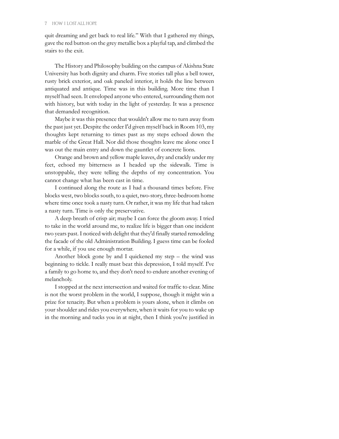quit dreaming and get back to real life." With that I gathered my things, gave the red button on the grey metallic box a playful tap, and climbed the stairs to the exit.

The History and Philosophy building on the campus of Akishna State University has both dignity and charm. Five stories tall plus a bell tower, rusty brick exterior, and oak paneled interior, it holds the line between antiquated and antique. Time was in this building. More time than I myself had seen. It enveloped anyone who entered, surrounding them not with history, but with today in the light of yesterday. It was a presence that demanded recognition.

Maybe it was this presence that wouldn't allow me to turn away from the past just yet. Despite the order I'd given myself back in Room 103, my thoughts kept returning to times past as my steps echoed down the marble of the Great Hall. Nor did those thoughts leave me alone once I was out the main entry and down the gauntlet of concrete lions.

Orange and brown and yellow maple leaves, dry and crackly under my feet, echoed my bitterness as I headed up the sidewalk. Time is unstoppable, they were telling the depths of my concentration. You cannot change what has been cast in time.

I continued along the route as I had a thousand times before. Five blocks west, two blocks south, to a quiet, two-story, three-bedroom home where time once took a nasty turn. Or rather, it was my life that had taken a nasty turn. Time is only the preservative.

A deep breath of crisp air; maybe I can force the gloom away. I tried to take in the world around me, to realize life is bigger than one incident two years past. I noticed with delight that they'd finally started remodeling the facade of the old Administration Building. I guess time can be fooled for a while, if you use enough mortar.

Another block gone by and I quickened my step – the wind was beginning to tickle. I really must beat this depression, I told myself. I've a family to go home to, and they don't need to endure another evening of melancholy.

I stopped at the next intersection and waited for traffic to clear. Mine is not the worst problem in the world, I suppose, though it might win a prize for tenacity. But when a problem is yours alone, when it climbs on your shoulder and rides you everywhere, when it waits for you to wake up in the morning and tucks you in at night, then I think you're justified in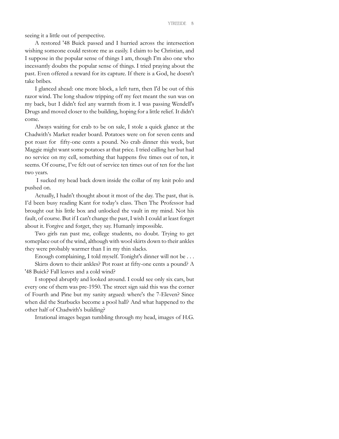seeing it a little out of perspective.

A restored '48 Buick passed and I hurried across the intersection wishing someone could restore me as easily. I claim to be Christian, and I suppose in the popular sense of things I am, though I'm also one who incessantly doubts the popular sense of things. I tried praying about the past. Even offered a reward for its capture. If there is a God, he doesn't take bribes.

I glanced ahead: one more block, a left turn, then I'd be out of this razor wind. The long shadow tripping off my feet meant the sun was on my back, but I didn't feel any warmth from it. I was passing Wendell's Drugs and moved closer to the building, hoping for a little relief. It didn't come.

Always waiting for crab to be on sale, I stole a quick glance at the Chadwith's Market reader board. Potatoes were on for seven cents and pot roast for fifty-one cents a pound. No crab dinner this week, but Maggie might want some potatoes at that price. I tried calling her but had no service on my cell, something that happens five times out of ten, it seems. Of course, I've felt out of service ten times out of ten for the last two years.

 I sucked my head back down inside the collar of my knit polo and pushed on.

Actually, I hadn't thought about it most of the day. The past, that is. I'd been busy reading Kant for today's class. Then The Professor had brought out his little box and unlocked the vault in my mind. Not his fault, of course. But if I can't change the past, I wish I could at least forget about it. Forgive and forget, they say. Humanly impossible.

Two girls ran past me, college students, no doubt. Trying to get someplace out of the wind, although with wool skirts down to their ankles they were probably warmer than I in my thin slacks.

Enough complaining, I told myself. Tonight's dinner will not be . . .

Skirts down to their ankles? Pot roast at fifty-one cents a pound? A '48 Buick? Fall leaves and a cold wind?

I stopped abruptly and looked around. I could see only six cars, but every one of them was pre-1950. The street sign said this was the corner of Fourth and Pine but my sanity argued: where's the 7-Eleven? Since when did the Starbucks become a pool hall? And what happened to the other half of Chadwith's building?

Irrational images began tumbling through my head, images of H.G.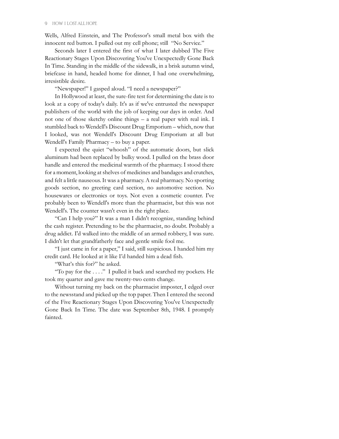Wells, Alfred Einstein, and The Professor's small metal box with the innocent red button. I pulled out my cell phone; still "No Service."

Seconds later I entered the first of what I later dubbed The Five Reactionary Stages Upon Discovering You've Unexpectedly Gone Back In Time. Standing in the middle of the sidewalk, in a brisk autumn wind, briefcase in hand, headed home for dinner, I had one overwhelming, irresistible desire.

"Newspaper!" I gasped aloud. "I need a newspaper?"

In Hollywood at least, the sure-fire test for determining the date is to look at a copy of today's daily. It's as if we've entrusted the newspaper publishers of the world with the job of keeping our days in order. And not one of those sketchy online things – a real paper with real ink. I stumbled back to Wendell's Discount Drug Emporium – which, now that I looked, was not Wendell's Discount Drug Emporium at all but Wendell's Family Pharmacy – to buy a paper.

I expected the quiet "whoosh" of the automatic doors, but slick aluminum had been replaced by bulky wood. I pulled on the brass door handle and entered the medicinal warmth of the pharmacy. I stood there for a moment, looking at shelves of medicines and bandages and crutches, and felt a little nauseous. It was a pharmacy. A real pharmacy. No sporting goods section, no greeting card section, no automotive section. No housewares or electronics or toys. Not even a cosmetic counter. I've probably been to Wendell's more than the pharmacist, but this was not Wendell's. The counter wasn't even in the right place.

"Can I help you?" It was a man I didn't recognize, standing behind the cash register. Pretending to be the pharmacist, no doubt. Probably a drug addict. I'd walked into the middle of an armed robbery, I was sure. I didn't let that grandfatherly face and gentle smile fool me.

"I just came in for a paper," I said, still suspicious. I handed him my credit card. He looked at it like I'd handed him a dead fish.

"What's this for?" he asked.

"To pay for the . . . ." I pulled it back and searched my pockets. He took my quarter and gave me twenty-two cents change.

Without turning my back on the pharmacist imposter, I edged over to the newsstand and picked up the top paper. Then I entered the second of the Five Reactionary Stages Upon Discovering You've Unexpectedly Gone Back In Time. The date was September 8th, 1948. I promptly fainted.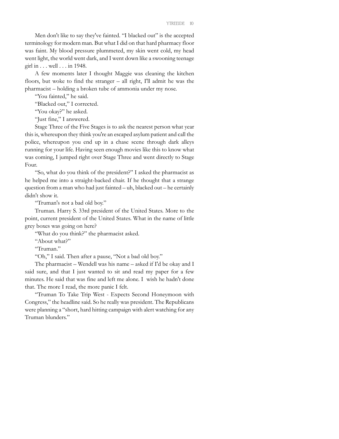Men don't like to say they've fainted. "I blacked out" is the accepted terminology for modern man. But what I did on that hard pharmacy floor was faint. My blood pressure plummeted, my skin went cold, my head went light, the world went dark, and I went down like a swooning teenage girl in . . . well . . . in 1948.

A few moments later I thought Maggie was cleaning the kitchen floors, but woke to find the stranger – all right, I'll admit he was the pharmacist – holding a broken tube of ammonia under my nose.

"You fainted," he said.

"Blacked out," I corrected.

"You okay?" he asked.

"Just fine," I answered.

Stage Three of the Five Stages is to ask the nearest person what year this is, whereupon they think you're an escaped asylum patient and call the police, whereupon you end up in a chase scene through dark alleys running for your life. Having seen enough movies like this to know what was coming, I jumped right over Stage Three and went directly to Stage Four.

"So, what do you think of the president?" I asked the pharmacist as he helped me into a straight-backed chair. If he thought that a strange question from a man who had just fainted – uh, blacked out – he certainly didn't show it.

"Truman's not a bad old boy."

Truman. Harry S. 33rd president of the United States. More to the point, current president of the United States. What in the name of little grey boxes was going on here?

"What do you think?" the pharmacist asked.

"About what?"

"Truman."

"Oh," I said. Then after a pause, "Not a bad old boy."

The pharmacist – Wendell was his name – asked if I'd be okay and I said sure, and that I just wanted to sit and read my paper for a few minutes. He said that was fine and left me alone. I wish he hadn't done that. The more I read, the more panic I felt.

"Truman To Take Trip West - Expects Second Honeymoon with Congress," the headline said. So he really was president. The Republicans were planning a "short, hard hitting campaign with alert watching for any Truman blunders."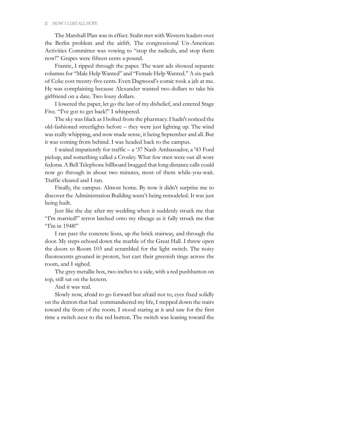The Marshall Plan was in effect. Stalin met with Western leaders over the Berlin problem and the airlift. The congressional Un-American Activities Committee was vowing to "stop the radicals, and stop them now!" Grapes were fifteen cents a pound.

Frantic, I ripped through the paper. The want ads showed separate columns for "Male Help Wanted" and "Female Help Wanted." A six-pack of Coke cost twenty-five cents. Even Dagwood's comic took a jab at me. He was complaining because Alexander wanted two dollars to take his girlfriend on a date. Two lousy dollars.

I lowered the paper, let go the last of my disbelief, and entered Stage Five. "I've got to get back!" I whispered.

The sky was black as I bolted from the pharmacy. I hadn't noticed the old-fashioned streetlights before – they were just lighting up. The wind was really whipping, and now made sense, it being September and all. But it was coming from behind. I was headed back to the campus.

I waited impatiently for traffic – a '37 Nash Ambassador, a '43 Ford pickup, and something called a Crosley. What few men were out all wore fedoras. A Bell Telephone billboard bragged that long distance calls could now go through in about two minutes, most of them while-you-wait. Traffic cleared and I ran.

Finally, the campus. Almost home. By now it didn't surprise me to discover the Administration Building wasn't being remodeled. It was just being built.

Just like the day after my wedding when it suddenly struck me that "I'm married!" terror latched onto my ribcage as it fully struck me that "I'm in 1948!"

I ran past the concrete lions, up the brick stairway, and through the door. My steps echoed down the marble of the Great Hall. I threw open the doors to Room 103 and scrambled for the light switch. The noisy fluorescents groaned in protest, but cast their greenish tinge across the room, and I sighed.

The grey metallic box, two inches to a side, with a red pushbutton on top, still sat on the lectern.

And it was real.

Slowly now, afraid to go forward but afraid not to, eyes fixed solidly on the demon that had commandeered my life, I stepped down the stairs toward the front of the room. I stood staring at it and saw for the first time a switch next to the red button. The switch was leaning toward the